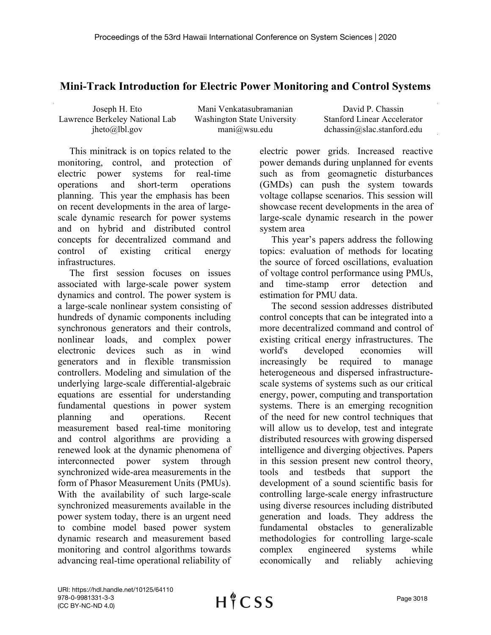## **Mini-Track Introduction for Electric Power Monitoring and Control Systems**

| Joseph H. Eto                  |
|--------------------------------|
| Lawrence Berkeley National Lab |
| $j$ heto $(a)$ lbl.gov         |

Mani Venkatasubramanian Washington State University mani@wsu.edu

David P. Chassin Stanford Linear Accelerator dchassin@slac.stanford.edu

This minitrack is on topics related to the monitoring, control, and protection of electric power systems for real-time operations and short-term operations planning. This year the emphasis has been on recent developments in the area of largescale dynamic research for power systems and on hybrid and distributed control concepts for decentralized command and control of existing critical energy infrastructures.

The first session focuses on issues associated with large-scale power system dynamics and control. The power system is a large-scale nonlinear system consisting of hundreds of dynamic components including synchronous generators and their controls, nonlinear loads, and complex power electronic devices such as in wind generators and in flexible transmission controllers. Modeling and simulation of the underlying large-scale differential-algebraic equations are essential for understanding fundamental questions in power system planning and operations. Recent measurement based real-time monitoring and control algorithms are providing a renewed look at the dynamic phenomena of interconnected power system through synchronized wide-area measurements in the form of Phasor Measurement Units (PMUs). With the availability of such large-scale synchronized measurements available in the power system today, there is an urgent need to combine model based power system dynamic research and measurement based monitoring and control algorithms towards advancing real-time operational reliability of

electric power grids. Increased reactive power demands during unplanned for events such as from geomagnetic disturbances (GMDs) can push the system towards voltage collapse scenarios. This session will showcase recent developments in the area of large-scale dynamic research in the power system area

This year's papers address the following topics: evaluation of methods for locating the source of forced oscillations, evaluation of voltage control performance using PMUs, and time-stamp error detection and estimation for PMU data.

The second session addresses distributed control concepts that can be integrated into a more decentralized command and control of existing critical energy infrastructures. The world's developed economies will increasingly be required to manage heterogeneous and dispersed infrastructurescale systems of systems such as our critical energy, power, computing and transportation systems. There is an emerging recognition of the need for new control techniques that will allow us to develop, test and integrate distributed resources with growing dispersed intelligence and diverging objectives. Papers in this session present new control theory, tools and testbeds that support the development of a sound scientific basis for controlling large-scale energy infrastructure using diverse resources including distributed generation and loads. They address the fundamental obstacles to generalizable methodologies for controlling large-scale complex engineered systems while economically and reliably achieving